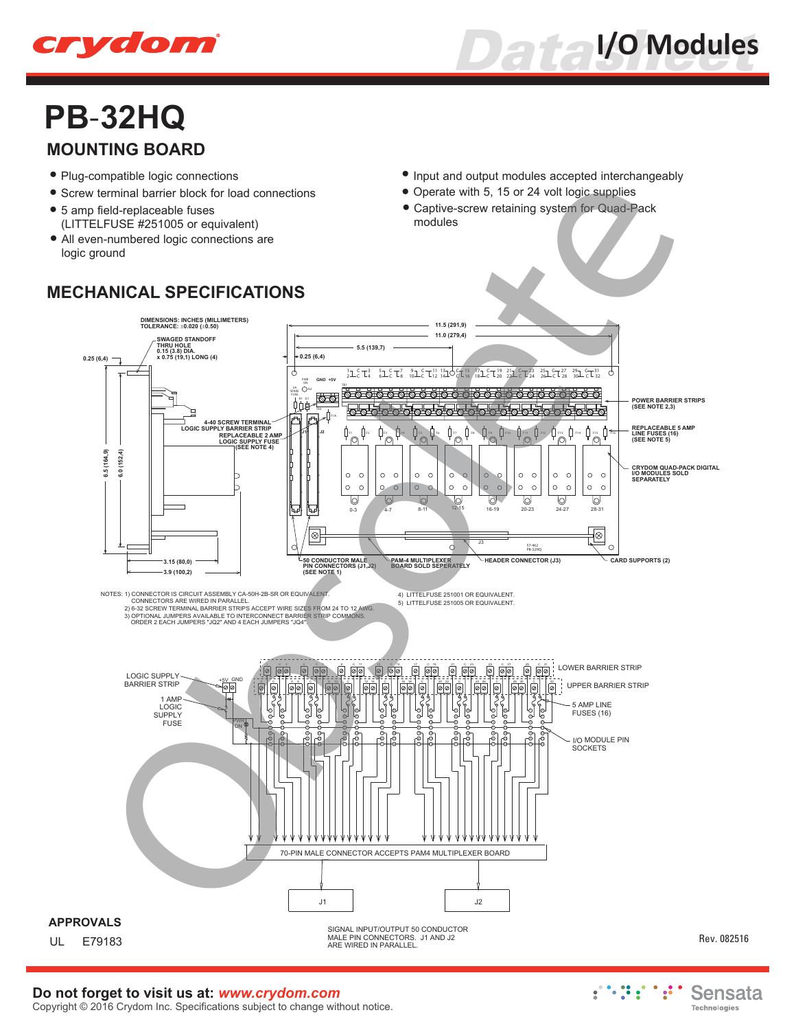



## **PB-32HQ MOUNTING BOARD**

- Plug-compatible logic connections **•**
- **•** Screw terminal barrier block for load connections
- 5 amp field-replaceable fuses **•** (LITTELFUSE #251005 or equivalent)
- All even-numbered logic connections are **•** logic ground
- **•** Input and output modules accepted interchangeably
- Operate with 5, 15 or 24 volt logic supplies **•**
- Captive-screw retaining system for Quad-Pack **•** modules



## **Do not forget to visit us at:** *www.crydom.com*

Copyright © 2016 Crydom Inc. Specifications subject to change without notice.

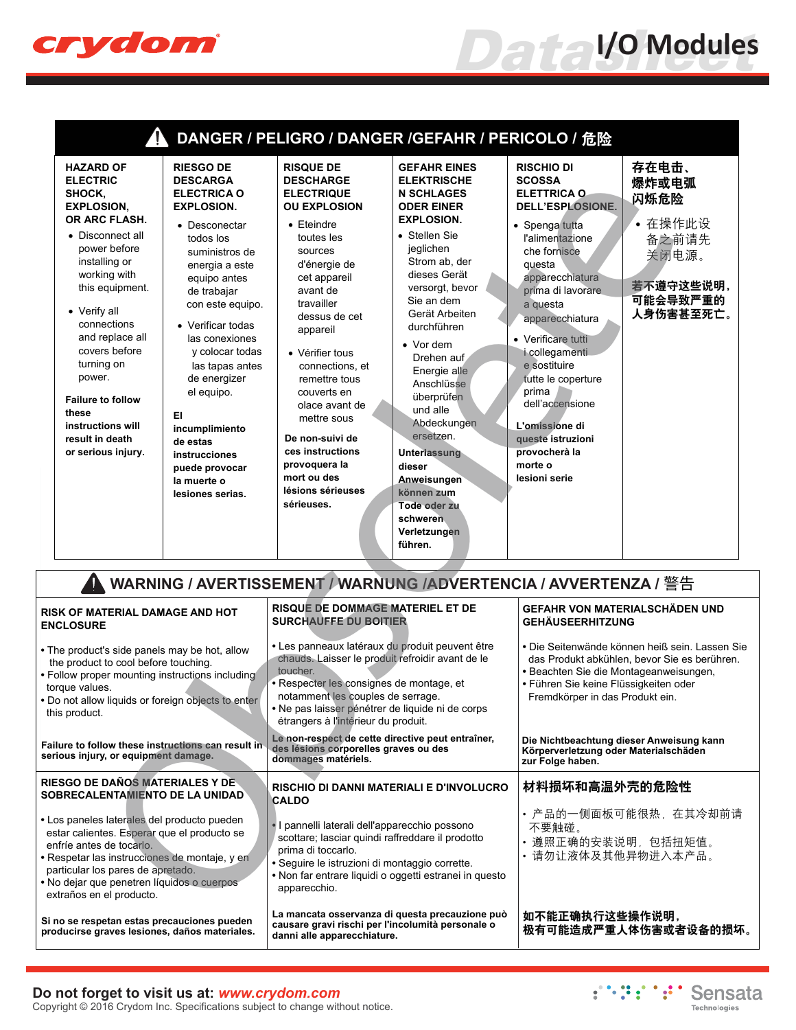

| DANGER / PELIGRO / DANGER /GEFAHR / PERICOLO / 危险                                                                                                                                                                                                                                                                                                                         |                                                                                                                                                                                                                                                                                                                                                                                                                          |                                                                                                                                                                                                                                                                                                                                                                                                                                         |                                                                                                                                                                                                                                                                                                                                                                                                                                                                                       |                                                                                                                                                                                                                                                                                                                                                                                                                  |                                                                                           |  |  |
|---------------------------------------------------------------------------------------------------------------------------------------------------------------------------------------------------------------------------------------------------------------------------------------------------------------------------------------------------------------------------|--------------------------------------------------------------------------------------------------------------------------------------------------------------------------------------------------------------------------------------------------------------------------------------------------------------------------------------------------------------------------------------------------------------------------|-----------------------------------------------------------------------------------------------------------------------------------------------------------------------------------------------------------------------------------------------------------------------------------------------------------------------------------------------------------------------------------------------------------------------------------------|---------------------------------------------------------------------------------------------------------------------------------------------------------------------------------------------------------------------------------------------------------------------------------------------------------------------------------------------------------------------------------------------------------------------------------------------------------------------------------------|------------------------------------------------------------------------------------------------------------------------------------------------------------------------------------------------------------------------------------------------------------------------------------------------------------------------------------------------------------------------------------------------------------------|-------------------------------------------------------------------------------------------|--|--|
| <b>HAZARD OF</b><br><b>ELECTRIC</b><br>SHOCK,<br><b>EXPLOSION,</b><br>OR ARC FLASH.<br>• Disconnect all<br>power before<br>installing or<br>working with<br>this equipment.<br>• Verify all<br>connections<br>and replace all<br>covers before<br>turning on<br>power.<br><b>Failure to follow</b><br>these<br>instructions will<br>result in death<br>or serious injury. | <b>RIESGO DE</b><br><b>DESCARGA</b><br><b>ELECTRICA O</b><br><b>EXPLOSION.</b><br>• Desconectar<br>todos los<br>suministros de<br>energia a este<br>equipo antes<br>de trabajar<br>con este equipo.<br>• Verificar todas<br>las conexiones<br>y colocar todas<br>las tapas antes<br>de energizer<br>el equipo.<br>EI<br>incumplimiento<br>de estas<br>instrucciones<br>puede provocar<br>la muerte o<br>lesiones serias. | <b>RISQUE DE</b><br><b>DESCHARGE</b><br><b>ELECTRIQUE</b><br><b>OU EXPLOSION</b><br>$\bullet$ Eteindre<br>toutes les<br>sources<br>d'énergie de<br>cet appareil<br>avant de<br>travailler<br>dessus de cet<br>appareil<br>• Vérifier tous<br>connections, et<br>remettre tous<br>couverts en<br>olace avant de<br>mettre sous<br>De non-suivi de<br>ces instructions<br>provoquera la<br>mort ou des<br>lésions sérieuses<br>sérieuses. | <b>GEFAHR EINES</b><br><b>ELEKTRISCHE</b><br><b>N SCHLAGES</b><br><b>ODER EINER</b><br><b>EXPLOSION.</b><br>• Stellen Sie<br>jeglichen<br>Strom ab, der<br>dieses Gerät<br>versorgt, bevor<br>Sie an dem<br>Gerät Arbeiten<br>durchführen<br>$\bullet$ Vor dem<br>Drehen auf<br>Energie alle<br>Anschlüsse<br>überprüfen<br>und alle<br>Abdeckungen<br>ersetzen.<br><b>Unterlassung</b><br>dieser<br>Anweisungen<br>können zum<br>Tode oder zu<br>schweren<br>Verletzungen<br>führen. | <b>RISCHIO DI</b><br><b>SCOSSA</b><br><b>ELETTRICA O</b><br>DELL'ESPLOSIONE.<br>• Spenga tutta<br>l'alimentazione<br>che fornisce<br>questa<br>apparecchiatura<br>prima di lavorare<br>a questa<br>apparecchiatura<br>• Verificare tutti<br>i collegamenti<br>e sostituire<br>tutte le coperture<br>prima<br>dell'accensione<br>L'omissione di<br>queste istruzioni<br>provocherà la<br>morte o<br>lesioni serie | 存在电击、<br>爆炸或电弧<br>闪烁危险<br>• 在操作此设<br>备之前请先<br>关闭电源。<br>若不遵守这些说明,<br>可能会导致严重的<br>人身伤害甚至死亡。 |  |  |
| WARNING / AVERTISSEMENT / WARNUNG /ADVERTENCIA / AVVERTENZA / 警告                                                                                                                                                                                                                                                                                                          |                                                                                                                                                                                                                                                                                                                                                                                                                          |                                                                                                                                                                                                                                                                                                                                                                                                                                         |                                                                                                                                                                                                                                                                                                                                                                                                                                                                                       |                                                                                                                                                                                                                                                                                                                                                                                                                  |                                                                                           |  |  |
| <b>( OF MATERIAL DAMAGE AND HOT</b><br><b>LOSURE</b>                                                                                                                                                                                                                                                                                                                      |                                                                                                                                                                                                                                                                                                                                                                                                                          | <b>RISQUE DE DOMMAGE MATERIEL ET DE</b><br><b>SURCHAUFFE DU BOITIER</b>                                                                                                                                                                                                                                                                                                                                                                 |                                                                                                                                                                                                                                                                                                                                                                                                                                                                                       | GEFAHR VON MATERIALSCHÄDEN UND<br><b>GEHÄUSEERHITZUNG</b>                                                                                                                                                                                                                                                                                                                                                        |                                                                                           |  |  |
| e product's side panels may be hot, allow<br>product to cool before touching.<br>low proper mounting instructions including<br>que values.<br>not allow liquids or foreign objects to enter<br>product.                                                                                                                                                                   |                                                                                                                                                                                                                                                                                                                                                                                                                          | · Les panneaux latéraux du produit peuvent être<br>chauds. Laisser le produit refroidir avant de le<br>toucher.<br>· Respecter les consignes de montage, et<br>notamment les couples de serrage.<br>• Ne pas laisser pénétrer de liquide ni de corps<br>étrangers à l'intérieur du produit.                                                                                                                                             |                                                                                                                                                                                                                                                                                                                                                                                                                                                                                       | • Die Seitenwände können heiß sein. Lassen Sie<br>das Produkt abkühlen, bevor Sie es berühren.<br>· Beachten Sie die Montageanweisungen,<br>• Führen Sie keine Flüssigkeiten oder<br>Fremdkörper in das Produkt ein.                                                                                                                                                                                             |                                                                                           |  |  |
| ire to follow these instructions can result in<br>ous injury, or equipment damage.                                                                                                                                                                                                                                                                                        |                                                                                                                                                                                                                                                                                                                                                                                                                          | Le non-respect de cette directive peut entraîner,<br>des lésions corporelles graves ou des<br>dommages matériels.                                                                                                                                                                                                                                                                                                                       |                                                                                                                                                                                                                                                                                                                                                                                                                                                                                       | Die Nichtbeachtung dieser Anweisung kann<br>Körperverletzung oder Materialschäden<br>zur Folge haben.                                                                                                                                                                                                                                                                                                            |                                                                                           |  |  |
| SGO DE DAÑOS MATERIALES Y DE<br>RECALENTAMIENTO DE LA UNIDAD                                                                                                                                                                                                                                                                                                              |                                                                                                                                                                                                                                                                                                                                                                                                                          | RISCHIO DI DANNI MATERIALI E D'INVOLUCRO<br><b>CALDO</b>                                                                                                                                                                                                                                                                                                                                                                                |                                                                                                                                                                                                                                                                                                                                                                                                                                                                                       | 材料损坏和高温外壳的危险性                                                                                                                                                                                                                                                                                                                                                                                                    |                                                                                           |  |  |
| s paneles laterales del producto pueden<br>ar calientes. Esperar que el producto se<br>ríe antes de tocarlo.<br>spetar las instrucciones de montaje, y en<br>ticular los pares de apretado.<br>dejar que penetren líquidos o cuerpos<br>raños en el producto.                                                                                                             |                                                                                                                                                                                                                                                                                                                                                                                                                          | · I pannelli laterali dell'apparecchio possono<br>scottare; lasciar quindi raffreddare il prodotto<br>prima di toccarlo.<br>· Seguire le istruzioni di montaggio corrette.<br>• Non far entrare liquidi o oggetti estranei in questo<br>apparecchio.                                                                                                                                                                                    |                                                                                                                                                                                                                                                                                                                                                                                                                                                                                       | 不要触碰。<br>• 遵照正确的安装说明,包括扭矩值。<br>• 请勿让液体及其他异物进入本产品。                                                                                                                                                                                                                                                                                                                                                                | • 产品的一侧面板可能很热,在其冷却前请                                                                      |  |  |
|                                                                                                                                                                                                                                                                                                                                                                           |                                                                                                                                                                                                                                                                                                                                                                                                                          |                                                                                                                                                                                                                                                                                                                                                                                                                                         | érentianza di questa precauzione può                                                                                                                                                                                                                                                                                                                                                                                                                                                  | 有无他无私 计分类化分析 经经济的                                                                                                                                                                                                                                                                                                                                                                                                |                                                                                           |  |  |

| WARNING / AVERTISSEMENT / WARNUNG /ADVERTENCIA / AVVERTENZA / 警告                                                                                                                                                                                                                       |                                                                                                                                                                                                                                                                                             |                                                                                                                                                                                                                      |  |  |  |  |
|----------------------------------------------------------------------------------------------------------------------------------------------------------------------------------------------------------------------------------------------------------------------------------------|---------------------------------------------------------------------------------------------------------------------------------------------------------------------------------------------------------------------------------------------------------------------------------------------|----------------------------------------------------------------------------------------------------------------------------------------------------------------------------------------------------------------------|--|--|--|--|
| <b>RISK OF MATERIAL DAMAGE AND HOT</b><br><b>ENCLOSURE</b>                                                                                                                                                                                                                             | <b>RISQUE DE DOMMAGE MATERIEL ET DE</b><br><b>SURCHAUFFE DU BOITIER</b>                                                                                                                                                                                                                     | GEFAHR VON MATERIALSCHÄDEN UND<br><b>GEHÄUSEERHITZUNG</b>                                                                                                                                                            |  |  |  |  |
| • The product's side panels may be hot, allow<br>the product to cool before touching.<br>• Follow proper mounting instructions including<br>torque values.<br>. Do not allow liquids or foreign objects to enter<br>this product.                                                      | • Les panneaux latéraux du produit peuvent être<br>chauds. Laisser le produit refroidir avant de le<br>toucher.<br>• Respecter les consignes de montage, et<br>notamment les couples de serrage.<br>• Ne pas laisser pénétrer de liquide ni de corps<br>étrangers à l'intérieur du produit. | • Die Seitenwände können heiß sein. Lassen Sie<br>das Produkt abkühlen, bevor Sie es berühren.<br>· Beachten Sie die Montageanweisungen,<br>• Führen Sie keine Flüssigkeiten oder<br>Fremdkörper in das Produkt ein. |  |  |  |  |
| Failure to follow these instructions can result in<br>serious injury, or equipment damage.                                                                                                                                                                                             | Le non-respect de cette directive peut entraîner,<br>des lésions corporelles graves ou des<br>dommages matériels.                                                                                                                                                                           | Die Nichtbeachtung dieser Anweisung kann<br>Körperverletzung oder Materialschäden<br>zur Folge haben.                                                                                                                |  |  |  |  |
| <b>RIESGO DE DAÑOS MATERIALES Y DE</b><br>SOBRECALENTAMIENTO DE LA UNIDAD                                                                                                                                                                                                              | <b>RISCHIO DI DANNI MATERIALI E D'INVOLUCRO</b><br><b>CALDO</b>                                                                                                                                                                                                                             | 材料损坏和高温外壳的危险性                                                                                                                                                                                                        |  |  |  |  |
| • Los paneles laterales del producto pueden<br>estar calientes. Esperar que el producto se<br>enfríe antes de tocarlo.<br>• Respetar las instrucciones de montaje, y en<br>particular los pares de apretado.<br>• No dejar que penetren líquidos o cuerpos<br>extraños en el producto. | I pannelli laterali dell'apparecchio possono<br>scottare; lasciar quindi raffreddare il prodotto<br>prima di toccarlo.<br>· Seguire le istruzioni di montaggio corrette.<br>• Non far entrare liquidi o oggetti estranei in questo<br>apparecchio.                                          | • 产品的一侧面板可能很热,在其冷却前请<br>不要触碰。<br>• 遵照正确的安装说明,包括扭矩值。<br>• 请勿让液体及其他异物进入本产品。                                                                                                                                            |  |  |  |  |
| Si no se respetan estas precauciones pueden<br>producirse graves lesiones, daños materiales.                                                                                                                                                                                           | La mancata osservanza di questa precauzione può<br>causare gravi rischi per l'incolumità personale o<br>danni alle apparecchiature.                                                                                                                                                         | 如不能正确执行这些操作说明,<br>极有可能造成严重人体伤害或者设备的损坏。                                                                                                                                                                               |  |  |  |  |

## **Do not forget to visit us at:** *www.crydom.com*

Copyright © 2016 Crydom Inc. Specifications subject to change without notice.



*Datasheet* **I/O Modules**